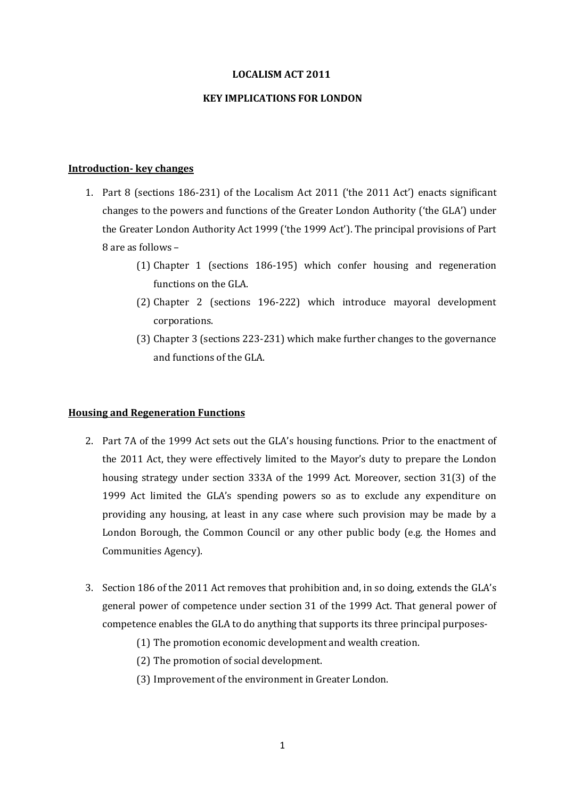### **LOCALISM ACT 2011**

## **KEY IMPLICATIONS FOR LONDON**

# **Introduction- key changes**

- 1. Part 8 (sections 186-231) of the Localism Act 2011 ('the 2011 Act') enacts significant changes to the powers and functions of the Greater London Authority ('the GLA') under the Greater London Authority Act 1999 ('the 1999 Act'). The principal provisions of Part 8 are as follows –
	- (1) Chapter 1 (sections 186-195) which confer housing and regeneration functions on the GLA.
	- (2) Chapter 2 (sections 196-222) which introduce mayoral development corporations.
	- (3) Chapter 3 (sections 223-231) which make further changes to the governance and functions of the GLA.

## **Housing and Regeneration Functions**

- 2. Part 7A of the 1999 Act sets out the GLA's housing functions. Prior to the enactment of the 2011 Act, they were effectively limited to the Mayor's duty to prepare the London housing strategy under section 333A of the 1999 Act. Moreover, section 31(3) of the 1999 Act limited the GLA's spending powers so as to exclude any expenditure on providing any housing, at least in any case where such provision may be made by a London Borough, the Common Council or any other public body (e.g. the Homes and Communities Agency).
- 3. Section 186 of the 2011 Act removes that prohibition and, in so doing, extends the GLA's general power of competence under section 31 of the 1999 Act. That general power of competence enables the GLA to do anything that supports its three principal purposes-
	- (1) The promotion economic development and wealth creation.
	- (2) The promotion of social development.
	- (3) Improvement of the environment in Greater London.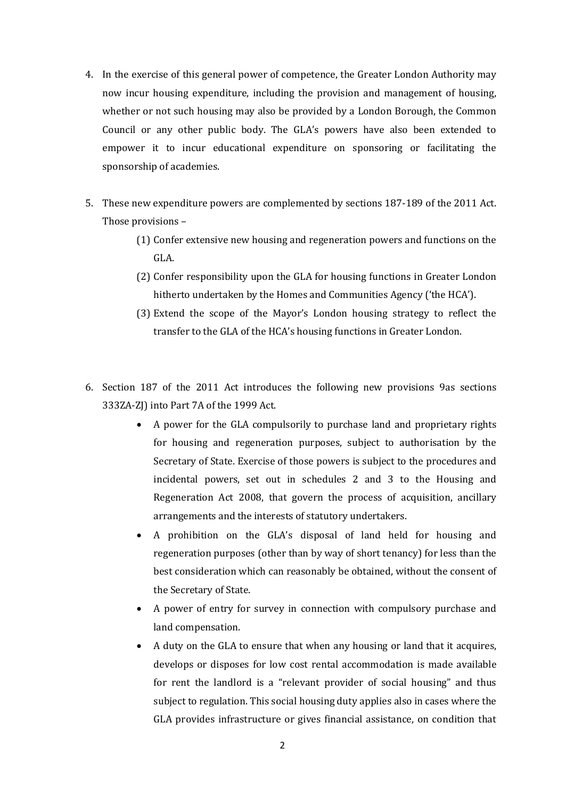- 4. In the exercise of this general power of competence, the Greater London Authority may now incur housing expenditure, including the provision and management of housing, whether or not such housing may also be provided by a London Borough, the Common Council or any other public body. The GLA's powers have also been extended to empower it to incur educational expenditure on sponsoring or facilitating the sponsorship of academies.
- 5. These new expenditure powers are complemented by sections 187-189 of the 2011 Act. Those provisions –
	- (1) Confer extensive new housing and regeneration powers and functions on the GLA.
	- (2) Confer responsibility upon the GLA for housing functions in Greater London hitherto undertaken by the Homes and Communities Agency ('the HCA').
	- (3) Extend the scope of the Mayor's London housing strategy to reflect the transfer to the GLA of the HCA's housing functions in Greater London.
- 6. Section 187 of the 2011 Act introduces the following new provisions 9as sections 333ZA-ZJ) into Part 7A of the 1999 Act.
	- A power for the GLA compulsorily to purchase land and proprietary rights for housing and regeneration purposes, subject to authorisation by the Secretary of State. Exercise of those powers is subject to the procedures and incidental powers, set out in schedules 2 and 3 to the Housing and Regeneration Act 2008, that govern the process of acquisition, ancillary arrangements and the interests of statutory undertakers.
	- A prohibition on the GLA's disposal of land held for housing and regeneration purposes (other than by way of short tenancy) for less than the best consideration which can reasonably be obtained, without the consent of the Secretary of State.
	- A power of entry for survey in connection with compulsory purchase and land compensation.
	- A duty on the GLA to ensure that when any housing or land that it acquires, develops or disposes for low cost rental accommodation is made available for rent the landlord is a "relevant provider of social housing" and thus subject to regulation. This social housing duty applies also in cases where the GLA provides infrastructure or gives financial assistance, on condition that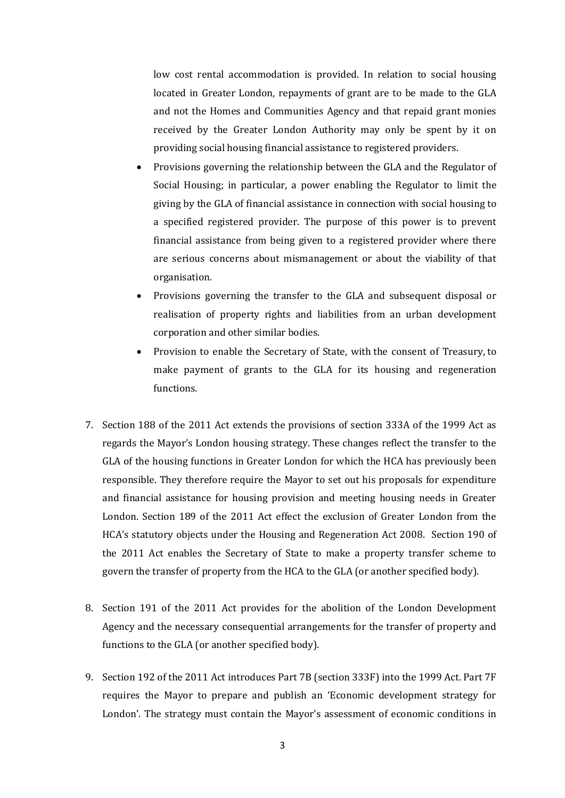low cost rental accommodation is provided. In relation to social housing located in Greater London, repayments of grant are to be made to the GLA and not the Homes and Communities Agency and that repaid grant monies received by the Greater London Authority may only be spent by it on providing social housing financial assistance to registered providers.

- Provisions governing the relationship between the GLA and the Regulator of Social Housing; in particular, a power enabling the Regulator to limit the giving by the GLA of financial assistance in connection with social housing to a specified registered provider. The purpose of this power is to prevent financial assistance from being given to a registered provider where there are serious concerns about mismanagement or about the viability of that organisation.
- Provisions governing the transfer to the GLA and subsequent disposal or realisation of property rights and liabilities from an urban development corporation and other similar bodies.
- Provision to enable the Secretary of State, with the consent of Treasury, to make payment of grants to the GLA for its housing and regeneration functions.
- 7. Section 188 of the 2011 Act extends the provisions of section 333A of the 1999 Act as regards the Mayor's London housing strategy. These changes reflect the transfer to the GLA of the housing functions in Greater London for which the HCA has previously been responsible. They therefore require the Mayor to set out his proposals for expenditure and financial assistance for housing provision and meeting housing needs in Greater London. Section 189 of the 2011 Act effect the exclusion of Greater London from the HCA's statutory objects under the Housing and Regeneration Act 2008. Section 190 of the 2011 Act enables the Secretary of State to make a property transfer scheme to govern the transfer of property from the HCA to the GLA (or another specified body).
- 8. Section 191 of the 2011 Act provides for the abolition of the London Development Agency and the necessary consequential arrangements for the transfer of property and functions to the GLA (or another specified body).
- 9. Section 192 of the 2011 Act introduces Part 7B (section 333F) into the 1999 Act. Part 7F requires the Mayor to prepare and publish an 'Economic development strategy for London'. The strategy must contain the Mayor's assessment of economic conditions in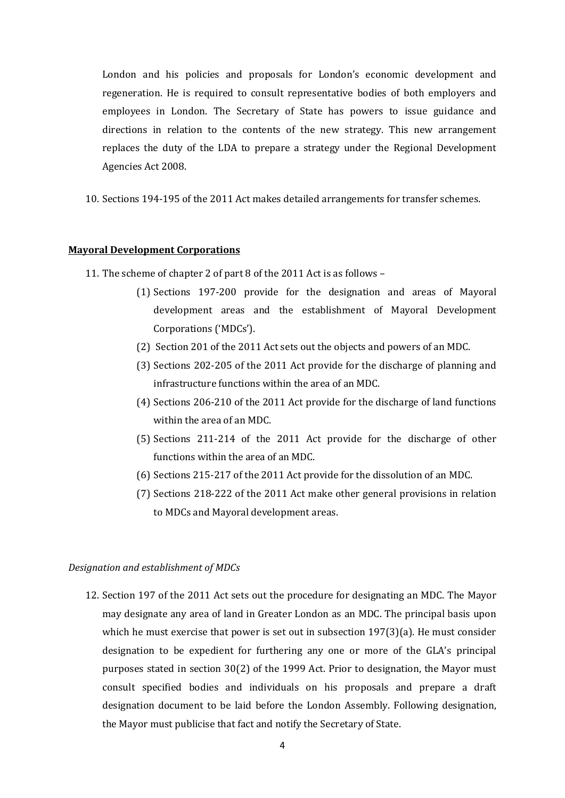London and his policies and proposals for London's economic development and regeneration. He is required to consult representative bodies of both employers and employees in London. The Secretary of State has powers to issue guidance and directions in relation to the contents of the new strategy. This new arrangement replaces the duty of the LDA to prepare a strategy under the Regional Development Agencies Act 2008.

10. Sections 194-195 of the 2011 Act makes detailed arrangements for transfer schemes.

## **Mayoral Development Corporations**

- 11. The scheme of chapter 2 of part 8 of the 2011 Act is as follows
	- (1) Sections 197-200 provide for the designation and areas of Mayoral development areas and the establishment of Mayoral Development Corporations ('MDCs').
	- (2) Section 201 of the 2011 Act sets out the objects and powers of an MDC.
	- (3) Sections 202-205 of the 2011 Act provide for the discharge of planning and infrastructure functions within the area of an MDC.
	- (4) Sections 206-210 of the 2011 Act provide for the discharge of land functions within the area of an MDC.
	- (5) Sections 211-214 of the 2011 Act provide for the discharge of other functions within the area of an MDC.
	- (6) Sections 215-217 of the 2011 Act provide for the dissolution of an MDC.
	- (7) Sections 218-222 of the 2011 Act make other general provisions in relation to MDCs and Mayoral development areas.

### *Designation and establishment of MDCs*

12. Section 197 of the 2011 Act sets out the procedure for designating an MDC. The Mayor may designate any area of land in Greater London as an MDC. The principal basis upon which he must exercise that power is set out in subsection 197(3)(a). He must consider designation to be expedient for furthering any one or more of the GLA's principal purposes stated in section 30(2) of the 1999 Act. Prior to designation, the Mayor must consult specified bodies and individuals on his proposals and prepare a draft designation document to be laid before the London Assembly. Following designation, the Mayor must publicise that fact and notify the Secretary of State.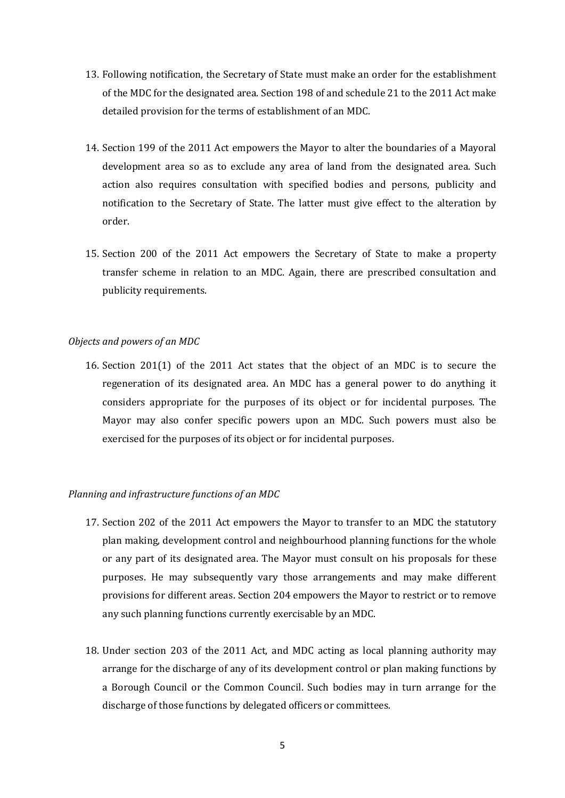- 13. Following notification, the Secretary of State must make an order for the establishment of the MDC for the designated area. Section 198 of and schedule 21 to the 2011 Act make detailed provision for the terms of establishment of an MDC.
- 14. Section 199 of the 2011 Act empowers the Mayor to alter the boundaries of a Mayoral development area so as to exclude any area of land from the designated area. Such action also requires consultation with specified bodies and persons, publicity and notification to the Secretary of State. The latter must give effect to the alteration by order.
- 15. Section 200 of the 2011 Act empowers the Secretary of State to make a property transfer scheme in relation to an MDC. Again, there are prescribed consultation and publicity requirements.

## *Objects and powers of an MDC*

16. Section 201(1) of the 2011 Act states that the object of an MDC is to secure the regeneration of its designated area. An MDC has a general power to do anything it considers appropriate for the purposes of its object or for incidental purposes. The Mayor may also confer specific powers upon an MDC. Such powers must also be exercised for the purposes of its object or for incidental purposes.

## *Planning and infrastructure functions of an MDC*

- 17. Section 202 of the 2011 Act empowers the Mayor to transfer to an MDC the statutory plan making, development control and neighbourhood planning functions for the whole or any part of its designated area. The Mayor must consult on his proposals for these purposes. He may subsequently vary those arrangements and may make different provisions for different areas. Section 204 empowers the Mayor to restrict or to remove any such planning functions currently exercisable by an MDC.
- 18. Under section 203 of the 2011 Act, and MDC acting as local planning authority may arrange for the discharge of any of its development control or plan making functions by a Borough Council or the Common Council. Such bodies may in turn arrange for the discharge of those functions by delegated officers or committees.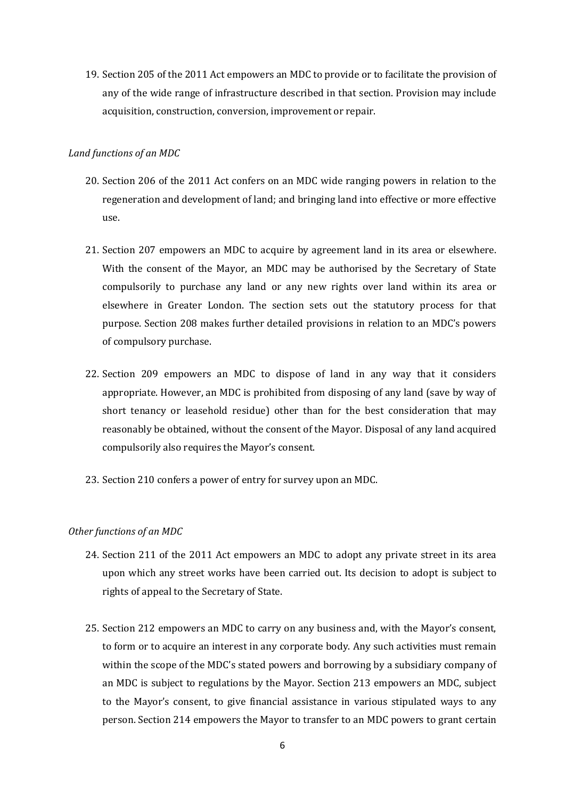19. Section 205 of the 2011 Act empowers an MDC to provide or to facilitate the provision of any of the wide range of infrastructure described in that section. Provision may include acquisition, construction, conversion, improvement or repair.

## *Land functions of an MDC*

- 20. Section 206 of the 2011 Act confers on an MDC wide ranging powers in relation to the regeneration and development of land; and bringing land into effective or more effective use.
- 21. Section 207 empowers an MDC to acquire by agreement land in its area or elsewhere. With the consent of the Mayor, an MDC may be authorised by the Secretary of State compulsorily to purchase any land or any new rights over land within its area or elsewhere in Greater London. The section sets out the statutory process for that purpose. Section 208 makes further detailed provisions in relation to an MDC's powers of compulsory purchase.
- 22. Section 209 empowers an MDC to dispose of land in any way that it considers appropriate. However, an MDC is prohibited from disposing of any land (save by way of short tenancy or leasehold residue) other than for the best consideration that may reasonably be obtained, without the consent of the Mayor. Disposal of any land acquired compulsorily also requires the Mayor's consent.
- 23. Section 210 confers a power of entry for survey upon an MDC.

### *Other functions of an MDC*

- 24. Section 211 of the 2011 Act empowers an MDC to adopt any private street in its area upon which any street works have been carried out. Its decision to adopt is subject to rights of appeal to the Secretary of State.
- 25. Section 212 empowers an MDC to carry on any business and, with the Mayor's consent, to form or to acquire an interest in any corporate body. Any such activities must remain within the scope of the MDC's stated powers and borrowing by a subsidiary company of an MDC is subject to regulations by the Mayor. Section 213 empowers an MDC, subject to the Mayor's consent, to give financial assistance in various stipulated ways to any person. Section 214 empowers the Mayor to transfer to an MDC powers to grant certain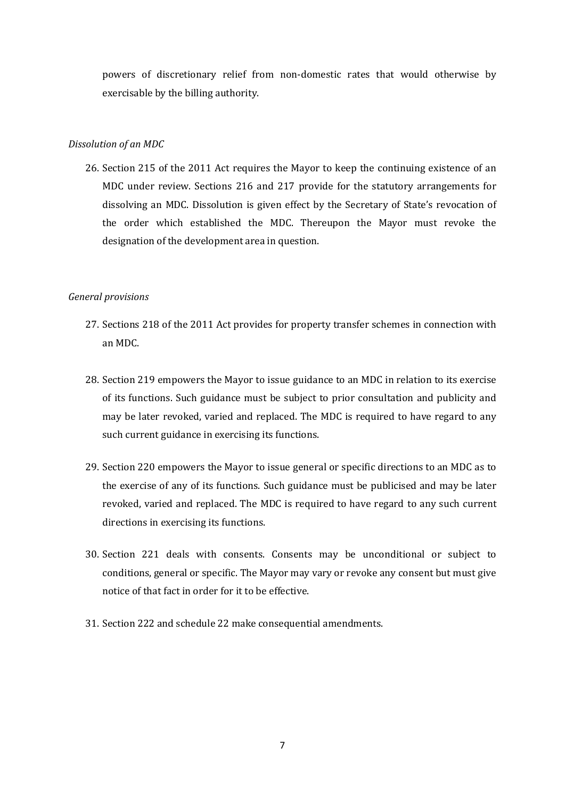powers of discretionary relief from non-domestic rates that would otherwise by exercisable by the billing authority.

## *Dissolution of an MDC*

26. Section 215 of the 2011 Act requires the Mayor to keep the continuing existence of an MDC under review. Sections 216 and 217 provide for the statutory arrangements for dissolving an MDC. Dissolution is given effect by the Secretary of State's revocation of the order which established the MDC. Thereupon the Mayor must revoke the designation of the development area in question.

#### *General provisions*

- 27. Sections 218 of the 2011 Act provides for property transfer schemes in connection with an MDC.
- 28. Section 219 empowers the Mayor to issue guidance to an MDC in relation to its exercise of its functions. Such guidance must be subject to prior consultation and publicity and may be later revoked, varied and replaced. The MDC is required to have regard to any such current guidance in exercising its functions.
- 29. Section 220 empowers the Mayor to issue general or specific directions to an MDC as to the exercise of any of its functions. Such guidance must be publicised and may be later revoked, varied and replaced. The MDC is required to have regard to any such current directions in exercising its functions.
- 30. Section 221 deals with consents. Consents may be unconditional or subject to conditions, general or specific. The Mayor may vary or revoke any consent but must give notice of that fact in order for it to be effective.
- 31. Section 222 and schedule 22 make consequential amendments.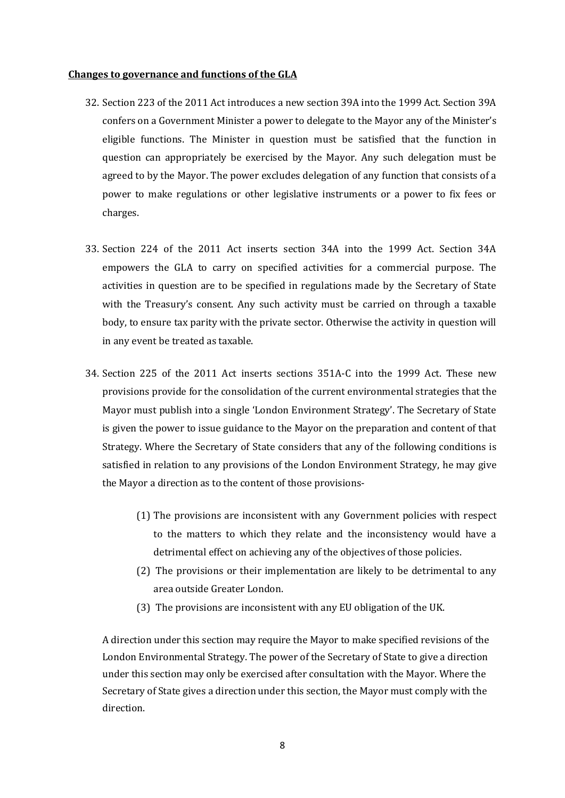## **Changes to governance and functions of the GLA**

- 32. Section 223 of the 2011 Act introduces a new section 39A into the 1999 Act. Section 39A confers on a Government Minister a power to delegate to the Mayor any of the Minister's eligible functions. The Minister in question must be satisfied that the function in question can appropriately be exercised by the Mayor. Any such delegation must be agreed to by the Mayor. The power excludes delegation of any function that consists of a power to make regulations or other legislative instruments or a power to fix fees or charges.
- 33. Section 224 of the 2011 Act inserts section 34A into the 1999 Act. Section 34A empowers the GLA to carry on specified activities for a commercial purpose. The activities in question are to be specified in regulations made by the Secretary of State with the Treasury's consent. Any such activity must be carried on through a taxable body, to ensure tax parity with the private sector. Otherwise the activity in question will in any event be treated as taxable.
- 34. Section 225 of the 2011 Act inserts sections 351A-C into the 1999 Act. These new provisions provide for the consolidation of the current environmental strategies that the Mayor must publish into a single 'London Environment Strategy'. The Secretary of State is given the power to issue guidance to the Mayor on the preparation and content of that Strategy. Where the Secretary of State considers that any of the following conditions is satisfied in relation to any provisions of the London Environment Strategy, he may give the Mayor a direction as to the content of those provisions-
	- (1) The provisions are inconsistent with any Government policies with respect to the matters to which they relate and the inconsistency would have a detrimental effect on achieving any of the objectives of those policies.
	- (2) The provisions or their implementation are likely to be detrimental to any area outside Greater London.
	- (3) The provisions are inconsistent with any EU obligation of the UK.

A direction under this section may require the Mayor to make specified revisions of the London Environmental Strategy. The power of the Secretary of State to give a direction under this section may only be exercised after consultation with the Mayor. Where the Secretary of State gives a direction under this section, the Mayor must comply with the direction.